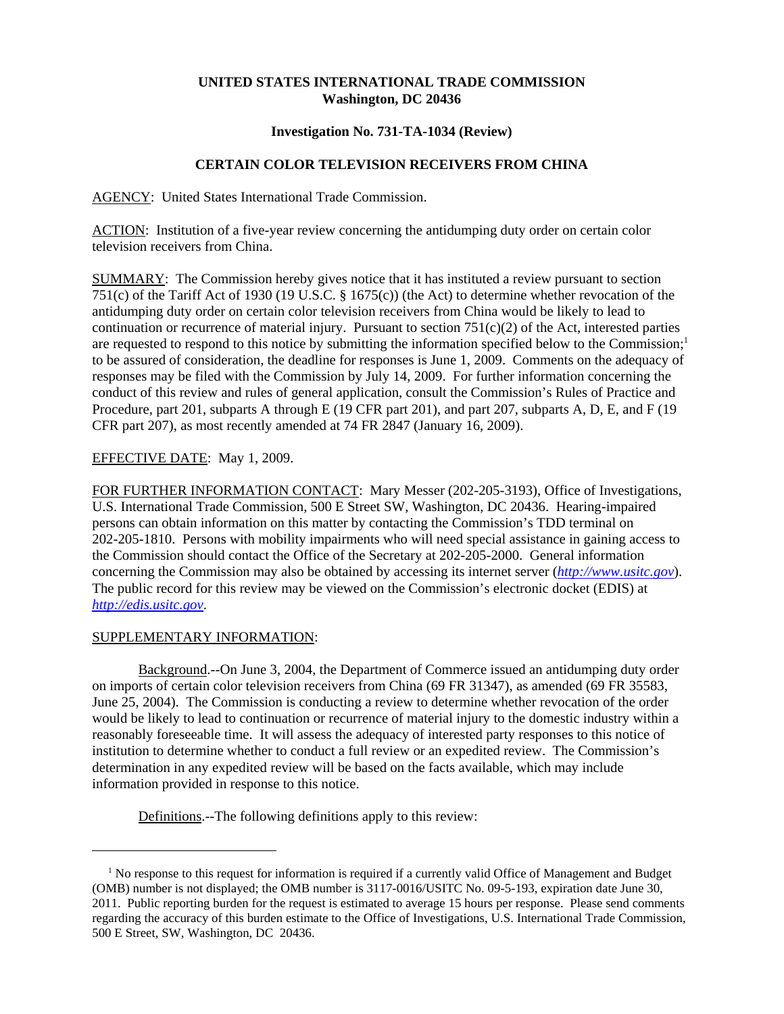## **UNITED STATES INTERNATIONAL TRADE COMMISSION Washington, DC 20436**

### **Investigation No. 731-TA-1034 (Review)**

# **CERTAIN COLOR TELEVISION RECEIVERS FROM CHINA**

AGENCY: United States International Trade Commission.

ACTION: Institution of a five-year review concerning the antidumping duty order on certain color television receivers from China.

SUMMARY: The Commission hereby gives notice that it has instituted a review pursuant to section 751(c) of the Tariff Act of 1930 (19 U.S.C. § 1675(c)) (the Act) to determine whether revocation of the antidumping duty order on certain color television receivers from China would be likely to lead to continuation or recurrence of material injury. Pursuant to section  $751(c)(2)$  of the Act, interested parties are requested to respond to this notice by submitting the information specified below to the Commission;<sup>1</sup> to be assured of consideration, the deadline for responses is June 1, 2009. Comments on the adequacy of responses may be filed with the Commission by July 14, 2009. For further information concerning the conduct of this review and rules of general application, consult the Commission's Rules of Practice and Procedure, part 201, subparts A through E (19 CFR part 201), and part 207, subparts A, D, E, and F (19 CFR part 207), as most recently amended at 74 FR 2847 (January 16, 2009).

### EFFECTIVE DATE: May 1, 2009.

FOR FURTHER INFORMATION CONTACT: Mary Messer (202-205-3193), Office of Investigations, U.S. International Trade Commission, 500 E Street SW, Washington, DC 20436. Hearing-impaired persons can obtain information on this matter by contacting the Commission's TDD terminal on 202-205-1810. Persons with mobility impairments who will need special assistance in gaining access to the Commission should contact the Office of the Secretary at 202-205-2000. General information concerning the Commission may also be obtained by accessing its internet server (*http://www.usitc.gov*). The public record for this review may be viewed on the Commission's electronic docket (EDIS) at *http://edis.usitc.gov*.

### SUPPLEMENTARY INFORMATION:

Background.--On June 3, 2004, the Department of Commerce issued an antidumping duty order on imports of certain color television receivers from China (69 FR 31347), as amended (69 FR 35583, June 25, 2004). The Commission is conducting a review to determine whether revocation of the order would be likely to lead to continuation or recurrence of material injury to the domestic industry within a reasonably foreseeable time. It will assess the adequacy of interested party responses to this notice of institution to determine whether to conduct a full review or an expedited review. The Commission's determination in any expedited review will be based on the facts available, which may include information provided in response to this notice.

Definitions.--The following definitions apply to this review:

<sup>&</sup>lt;sup>1</sup> No response to this request for information is required if a currently valid Office of Management and Budget (OMB) number is not displayed; the OMB number is 3117-0016/USITC No. 09-5-193, expiration date June 30, 2011. Public reporting burden for the request is estimated to average 15 hours per response. Please send comments regarding the accuracy of this burden estimate to the Office of Investigations, U.S. International Trade Commission, 500 E Street, SW, Washington, DC 20436.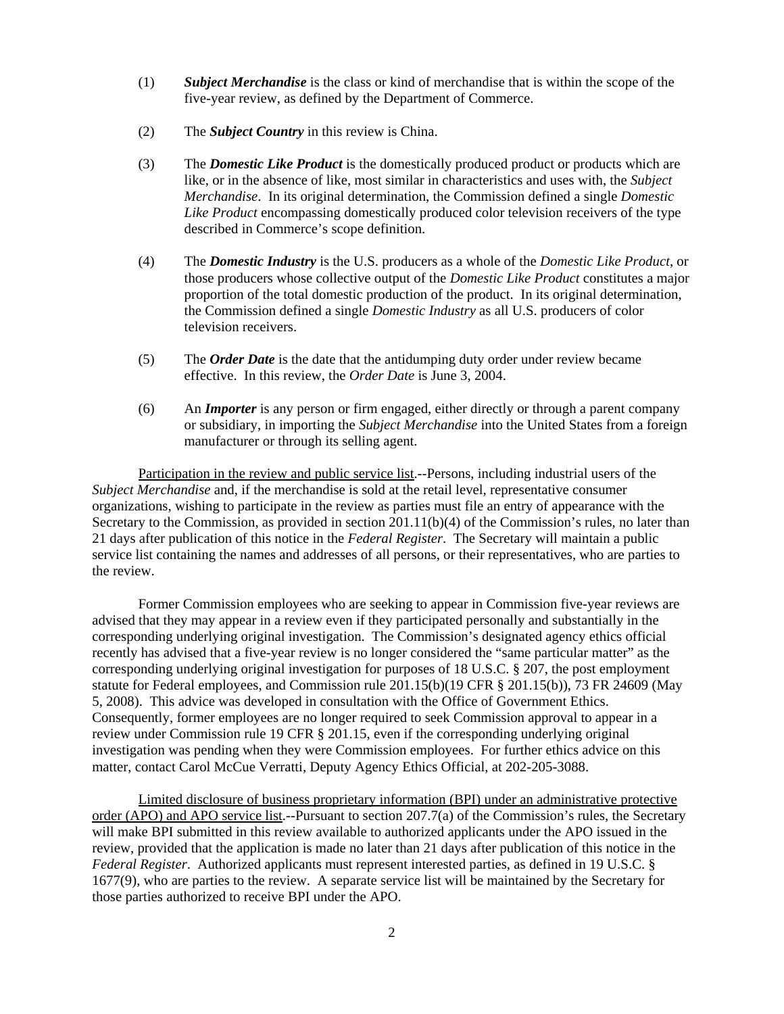- (1) *Subject Merchandise* is the class or kind of merchandise that is within the scope of the five-year review, as defined by the Department of Commerce.
- (2) The *Subject Country* in this review is China.
- (3) The *Domestic Like Product* is the domestically produced product or products which are like, or in the absence of like, most similar in characteristics and uses with, the *Subject Merchandise*. In its original determination, the Commission defined a single *Domestic Like Product* encompassing domestically produced color television receivers of the type described in Commerce's scope definition.
- (4) The *Domestic Industry* is the U.S. producers as a whole of the *Domestic Like Product*, or those producers whose collective output of the *Domestic Like Product* constitutes a major proportion of the total domestic production of the product. In its original determination, the Commission defined a single *Domestic Industry* as all U.S. producers of color television receivers.
- (5) The *Order Date* is the date that the antidumping duty order under review became effective. In this review, the *Order Date* is June 3, 2004.
- (6) An *Importer* is any person or firm engaged, either directly or through a parent company or subsidiary, in importing the *Subject Merchandise* into the United States from a foreign manufacturer or through its selling agent.

Participation in the review and public service list.--Persons, including industrial users of the *Subject Merchandise* and, if the merchandise is sold at the retail level, representative consumer organizations, wishing to participate in the review as parties must file an entry of appearance with the Secretary to the Commission, as provided in section 201.11(b)(4) of the Commission's rules, no later than 21 days after publication of this notice in the *Federal Register*. The Secretary will maintain a public service list containing the names and addresses of all persons, or their representatives, who are parties to the review.

Former Commission employees who are seeking to appear in Commission five-year reviews are advised that they may appear in a review even if they participated personally and substantially in the corresponding underlying original investigation. The Commission's designated agency ethics official recently has advised that a five-year review is no longer considered the "same particular matter" as the corresponding underlying original investigation for purposes of 18 U.S.C. § 207, the post employment statute for Federal employees, and Commission rule 201.15(b)(19 CFR § 201.15(b)), 73 FR 24609 (May 5, 2008). This advice was developed in consultation with the Office of Government Ethics. Consequently, former employees are no longer required to seek Commission approval to appear in a review under Commission rule 19 CFR § 201.15, even if the corresponding underlying original investigation was pending when they were Commission employees. For further ethics advice on this matter, contact Carol McCue Verratti, Deputy Agency Ethics Official, at 202-205-3088.

Limited disclosure of business proprietary information (BPI) under an administrative protective order (APO) and APO service list.--Pursuant to section 207.7(a) of the Commission's rules, the Secretary will make BPI submitted in this review available to authorized applicants under the APO issued in the review, provided that the application is made no later than 21 days after publication of this notice in the *Federal Register*. Authorized applicants must represent interested parties, as defined in 19 U.S.C. § 1677(9), who are parties to the review. A separate service list will be maintained by the Secretary for those parties authorized to receive BPI under the APO.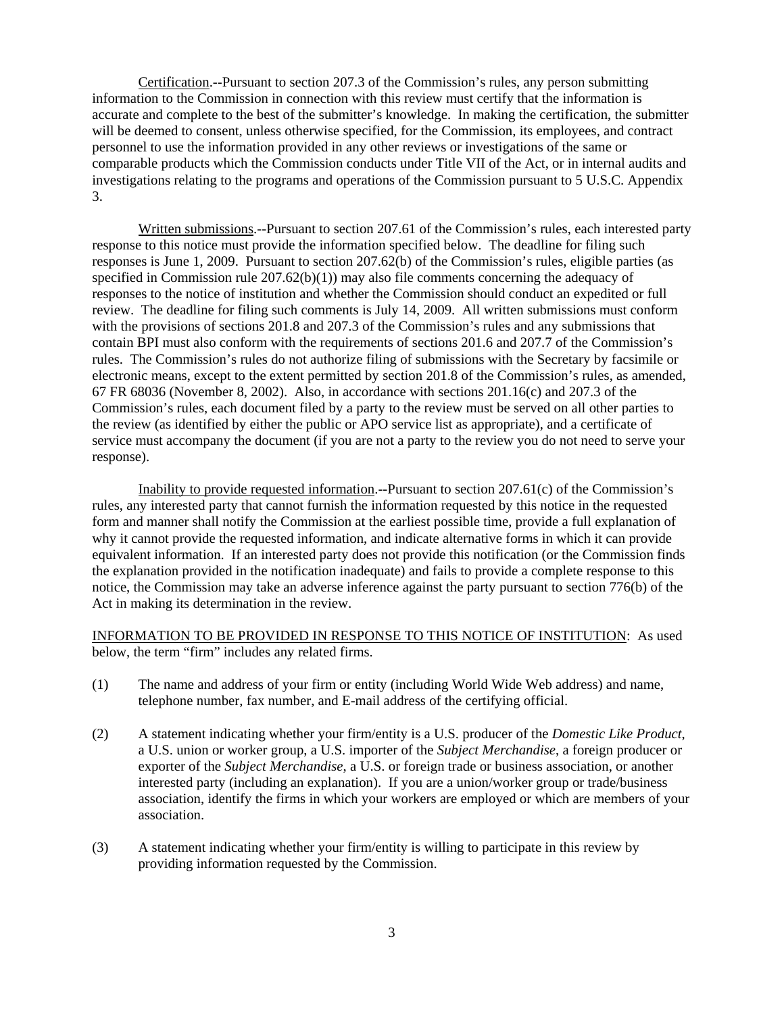Certification.--Pursuant to section 207.3 of the Commission's rules, any person submitting information to the Commission in connection with this review must certify that the information is accurate and complete to the best of the submitter's knowledge. In making the certification, the submitter will be deemed to consent, unless otherwise specified, for the Commission, its employees, and contract personnel to use the information provided in any other reviews or investigations of the same or comparable products which the Commission conducts under Title VII of the Act, or in internal audits and investigations relating to the programs and operations of the Commission pursuant to 5 U.S.C. Appendix 3.

Written submissions.--Pursuant to section 207.61 of the Commission's rules, each interested party response to this notice must provide the information specified below. The deadline for filing such responses is June 1, 2009. Pursuant to section 207.62(b) of the Commission's rules, eligible parties (as specified in Commission rule  $207.62(b)(1)$  may also file comments concerning the adequacy of responses to the notice of institution and whether the Commission should conduct an expedited or full review. The deadline for filing such comments is July 14, 2009. All written submissions must conform with the provisions of sections 201.8 and 207.3 of the Commission's rules and any submissions that contain BPI must also conform with the requirements of sections 201.6 and 207.7 of the Commission's rules. The Commission's rules do not authorize filing of submissions with the Secretary by facsimile or electronic means, except to the extent permitted by section 201.8 of the Commission's rules, as amended, 67 FR 68036 (November 8, 2002). Also, in accordance with sections 201.16(c) and 207.3 of the Commission's rules, each document filed by a party to the review must be served on all other parties to the review (as identified by either the public or APO service list as appropriate), and a certificate of service must accompany the document (if you are not a party to the review you do not need to serve your response).

Inability to provide requested information.--Pursuant to section 207.61(c) of the Commission's rules, any interested party that cannot furnish the information requested by this notice in the requested form and manner shall notify the Commission at the earliest possible time, provide a full explanation of why it cannot provide the requested information, and indicate alternative forms in which it can provide equivalent information. If an interested party does not provide this notification (or the Commission finds the explanation provided in the notification inadequate) and fails to provide a complete response to this notice, the Commission may take an adverse inference against the party pursuant to section 776(b) of the Act in making its determination in the review.

INFORMATION TO BE PROVIDED IN RESPONSE TO THIS NOTICE OF INSTITUTION: As used below, the term "firm" includes any related firms.

- (1) The name and address of your firm or entity (including World Wide Web address) and name, telephone number, fax number, and E-mail address of the certifying official.
- (2) A statement indicating whether your firm/entity is a U.S. producer of the *Domestic Like Product*, a U.S. union or worker group, a U.S. importer of the *Subject Merchandise*, a foreign producer or exporter of the *Subject Merchandise*, a U.S. or foreign trade or business association, or another interested party (including an explanation). If you are a union/worker group or trade/business association, identify the firms in which your workers are employed or which are members of your association.
- (3) A statement indicating whether your firm/entity is willing to participate in this review by providing information requested by the Commission.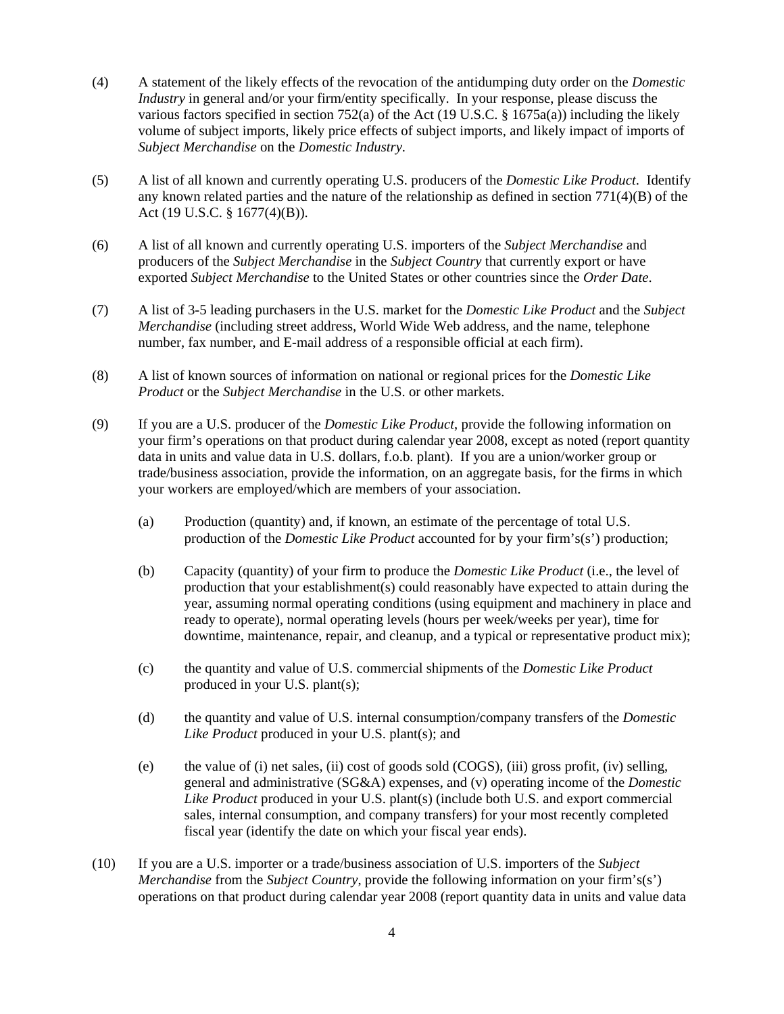- (4) A statement of the likely effects of the revocation of the antidumping duty order on the *Domestic Industry* in general and/or your firm/entity specifically. In your response, please discuss the various factors specified in section 752(a) of the Act (19 U.S.C. § 1675a(a)) including the likely volume of subject imports, likely price effects of subject imports, and likely impact of imports of *Subject Merchandise* on the *Domestic Industry*.
- (5) A list of all known and currently operating U.S. producers of the *Domestic Like Product*. Identify any known related parties and the nature of the relationship as defined in section  $771(4)(B)$  of the Act (19 U.S.C. § 1677(4)(B)).
- (6) A list of all known and currently operating U.S. importers of the *Subject Merchandise* and producers of the *Subject Merchandise* in the *Subject Country* that currently export or have exported *Subject Merchandise* to the United States or other countries since the *Order Date*.
- (7) A list of 3-5 leading purchasers in the U.S. market for the *Domestic Like Product* and the *Subject Merchandise* (including street address, World Wide Web address, and the name, telephone number, fax number, and E-mail address of a responsible official at each firm).
- (8) A list of known sources of information on national or regional prices for the *Domestic Like Product* or the *Subject Merchandise* in the U.S. or other markets.
- (9) If you are a U.S. producer of the *Domestic Like Product*, provide the following information on your firm's operations on that product during calendar year 2008, except as noted (report quantity data in units and value data in U.S. dollars, f.o.b. plant). If you are a union/worker group or trade/business association, provide the information, on an aggregate basis, for the firms in which your workers are employed/which are members of your association.
	- (a) Production (quantity) and, if known, an estimate of the percentage of total U.S. production of the *Domestic Like Product* accounted for by your firm's(s') production;
	- (b) Capacity (quantity) of your firm to produce the *Domestic Like Product* (i.e., the level of production that your establishment(s) could reasonably have expected to attain during the year, assuming normal operating conditions (using equipment and machinery in place and ready to operate), normal operating levels (hours per week/weeks per year), time for downtime, maintenance, repair, and cleanup, and a typical or representative product mix);
	- (c) the quantity and value of U.S. commercial shipments of the *Domestic Like Product* produced in your U.S. plant(s);
	- (d) the quantity and value of U.S. internal consumption/company transfers of the *Domestic Like Product* produced in your U.S. plant(s); and
	- (e) the value of (i) net sales, (ii) cost of goods sold (COGS), (iii) gross profit, (iv) selling, general and administrative (SG&A) expenses, and (v) operating income of the *Domestic Like Product* produced in your U.S. plant(s) (include both U.S. and export commercial sales, internal consumption, and company transfers) for your most recently completed fiscal year (identify the date on which your fiscal year ends).
- (10) If you are a U.S. importer or a trade/business association of U.S. importers of the *Subject Merchandise* from the *Subject Country*, provide the following information on your firm's(s') operations on that product during calendar year 2008 (report quantity data in units and value data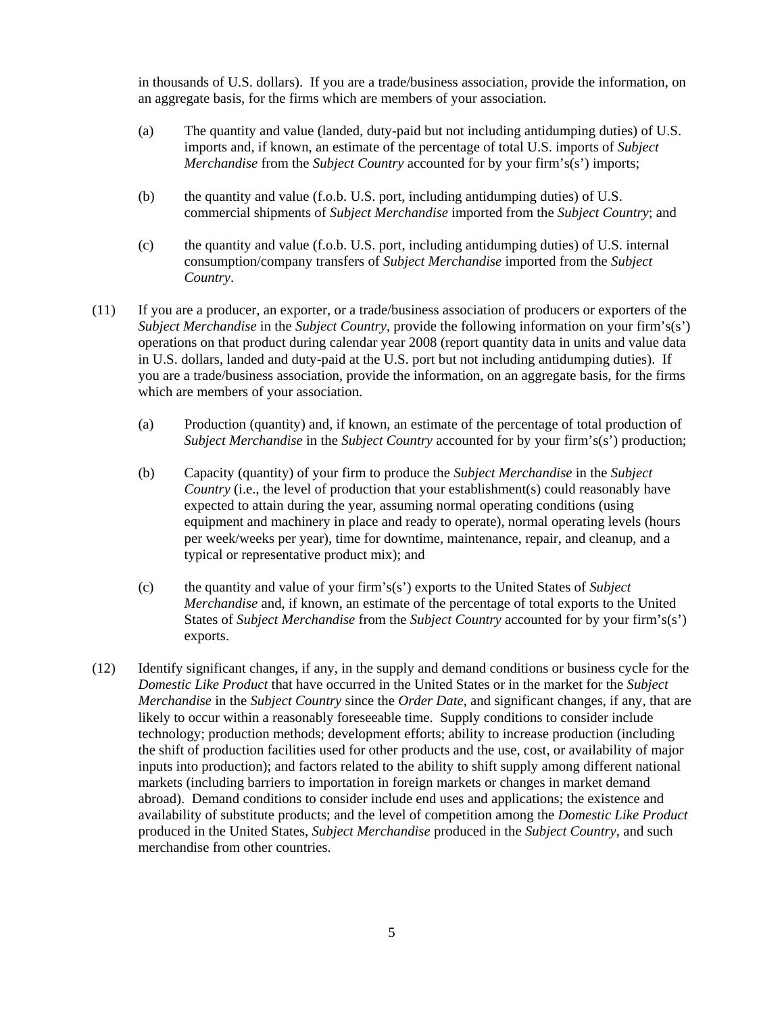in thousands of U.S. dollars). If you are a trade/business association, provide the information, on an aggregate basis, for the firms which are members of your association.

- (a) The quantity and value (landed, duty-paid but not including antidumping duties) of U.S. imports and, if known, an estimate of the percentage of total U.S. imports of *Subject Merchandise* from the *Subject Country* accounted for by your firm's(s') imports;
- (b) the quantity and value (f.o.b. U.S. port, including antidumping duties) of U.S. commercial shipments of *Subject Merchandise* imported from the *Subject Country*; and
- (c) the quantity and value (f.o.b. U.S. port, including antidumping duties) of U.S. internal consumption/company transfers of *Subject Merchandise* imported from the *Subject Country*.
- (11) If you are a producer, an exporter, or a trade/business association of producers or exporters of the *Subject Merchandise* in the *Subject Country*, provide the following information on your firm's(s') operations on that product during calendar year 2008 (report quantity data in units and value data in U.S. dollars, landed and duty-paid at the U.S. port but not including antidumping duties). If you are a trade/business association, provide the information, on an aggregate basis, for the firms which are members of your association.
	- (a) Production (quantity) and, if known, an estimate of the percentage of total production of *Subject Merchandise* in the *Subject Country* accounted for by your firm's(s') production;
	- (b) Capacity (quantity) of your firm to produce the *Subject Merchandise* in the *Subject Country* (i.e., the level of production that your establishment(s) could reasonably have expected to attain during the year, assuming normal operating conditions (using equipment and machinery in place and ready to operate), normal operating levels (hours per week/weeks per year), time for downtime, maintenance, repair, and cleanup, and a typical or representative product mix); and
	- (c) the quantity and value of your firm's(s') exports to the United States of *Subject Merchandise* and, if known, an estimate of the percentage of total exports to the United States of *Subject Merchandise* from the *Subject Country* accounted for by your firm's(s') exports.
- (12) Identify significant changes, if any, in the supply and demand conditions or business cycle for the *Domestic Like Product* that have occurred in the United States or in the market for the *Subject Merchandise* in the *Subject Country* since the *Order Date*, and significant changes, if any, that are likely to occur within a reasonably foreseeable time. Supply conditions to consider include technology; production methods; development efforts; ability to increase production (including the shift of production facilities used for other products and the use, cost, or availability of major inputs into production); and factors related to the ability to shift supply among different national markets (including barriers to importation in foreign markets or changes in market demand abroad). Demand conditions to consider include end uses and applications; the existence and availability of substitute products; and the level of competition among the *Domestic Like Product* produced in the United States, *Subject Merchandise* produced in the *Subject Country*, and such merchandise from other countries.